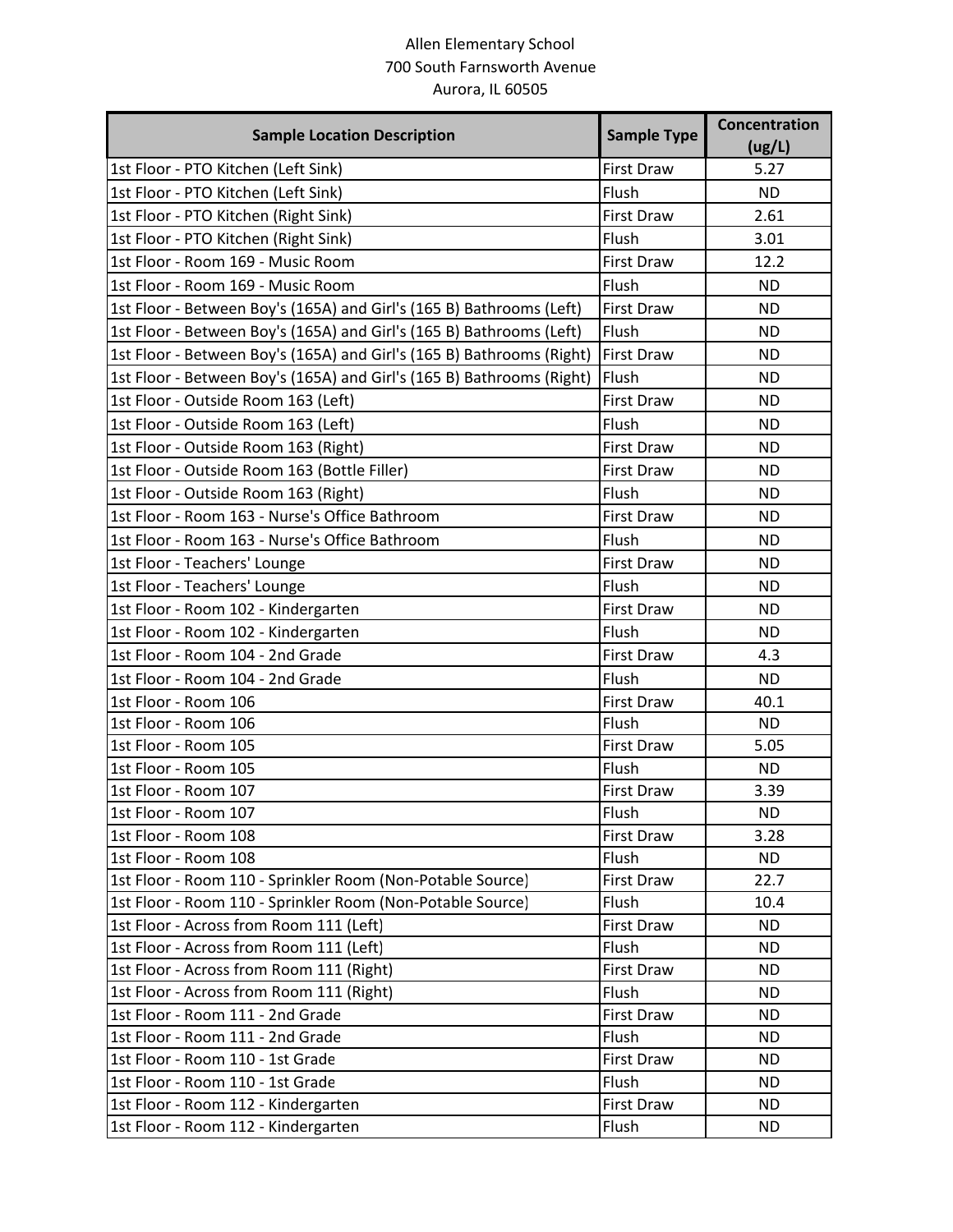## Allen Elementary School 700 South Farnsworth Avenue Aurora, IL 60505

| <b>Sample Location Description</b>                                    | <b>Sample Type</b> | <b>Concentration</b><br>(ug/L) |
|-----------------------------------------------------------------------|--------------------|--------------------------------|
| 1st Floor - PTO Kitchen (Left Sink)                                   | <b>First Draw</b>  | 5.27                           |
| 1st Floor - PTO Kitchen (Left Sink)                                   | Flush              | <b>ND</b>                      |
| 1st Floor - PTO Kitchen (Right Sink)                                  | <b>First Draw</b>  | 2.61                           |
| 1st Floor - PTO Kitchen (Right Sink)                                  | Flush              | 3.01                           |
| 1st Floor - Room 169 - Music Room                                     | <b>First Draw</b>  | 12.2                           |
| 1st Floor - Room 169 - Music Room                                     | Flush              | <b>ND</b>                      |
| 1st Floor - Between Boy's (165A) and Girl's (165 B) Bathrooms (Left)  | <b>First Draw</b>  | <b>ND</b>                      |
| 1st Floor - Between Boy's (165A) and Girl's (165 B) Bathrooms (Left)  | Flush              | <b>ND</b>                      |
| 1st Floor - Between Boy's (165A) and Girl's (165 B) Bathrooms (Right) | <b>First Draw</b>  | <b>ND</b>                      |
| 1st Floor - Between Boy's (165A) and Girl's (165 B) Bathrooms (Right) | Flush              | <b>ND</b>                      |
| 1st Floor - Outside Room 163 (Left)                                   | <b>First Draw</b>  | <b>ND</b>                      |
| 1st Floor - Outside Room 163 (Left)                                   | Flush              | <b>ND</b>                      |
| 1st Floor - Outside Room 163 (Right)                                  | <b>First Draw</b>  | <b>ND</b>                      |
| 1st Floor - Outside Room 163 (Bottle Filler)                          | <b>First Draw</b>  | <b>ND</b>                      |
| 1st Floor - Outside Room 163 (Right)                                  | Flush              | <b>ND</b>                      |
| 1st Floor - Room 163 - Nurse's Office Bathroom                        | <b>First Draw</b>  | <b>ND</b>                      |
| 1st Floor - Room 163 - Nurse's Office Bathroom                        | Flush              | <b>ND</b>                      |
| 1st Floor - Teachers' Lounge                                          | <b>First Draw</b>  | <b>ND</b>                      |
| 1st Floor - Teachers' Lounge                                          | Flush              | <b>ND</b>                      |
| 1st Floor - Room 102 - Kindergarten                                   | <b>First Draw</b>  | <b>ND</b>                      |
| 1st Floor - Room 102 - Kindergarten                                   | Flush              | <b>ND</b>                      |
| 1st Floor - Room 104 - 2nd Grade                                      | <b>First Draw</b>  | 4.3                            |
| 1st Floor - Room 104 - 2nd Grade                                      | Flush              | <b>ND</b>                      |
| 1st Floor - Room 106                                                  | <b>First Draw</b>  | 40.1                           |
| 1st Floor - Room 106                                                  | Flush              | <b>ND</b>                      |
| 1st Floor - Room 105                                                  | <b>First Draw</b>  | 5.05                           |
| 1st Floor - Room 105                                                  | Flush              | <b>ND</b>                      |
| 1st Floor - Room 107                                                  | <b>First Draw</b>  | 3.39                           |
| 1st Floor - Room 107                                                  | Flush              | ND                             |
| 1st Floor - Room 108                                                  | First Draw         | 3.28                           |
| 1st Floor - Room 108                                                  | Flush              | <b>ND</b>                      |
| 1st Floor - Room 110 - Sprinkler Room (Non-Potable Source)            | First Draw         | 22.7                           |
| 1st Floor - Room 110 - Sprinkler Room (Non-Potable Source)            | Flush              | 10.4                           |
| 1st Floor - Across from Room 111 (Left)                               | First Draw         | <b>ND</b>                      |
| 1st Floor - Across from Room 111 (Left)                               | Flush              | <b>ND</b>                      |
| 1st Floor - Across from Room 111 (Right)                              | <b>First Draw</b>  | <b>ND</b>                      |
| 1st Floor - Across from Room 111 (Right)                              | Flush              | <b>ND</b>                      |
| 1st Floor - Room 111 - 2nd Grade                                      | First Draw         | <b>ND</b>                      |
| 1st Floor - Room 111 - 2nd Grade                                      | Flush              | <b>ND</b>                      |
| 1st Floor - Room 110 - 1st Grade                                      | First Draw         | <b>ND</b>                      |
| 1st Floor - Room 110 - 1st Grade                                      | Flush              | <b>ND</b>                      |
| 1st Floor - Room 112 - Kindergarten                                   | First Draw         | <b>ND</b>                      |
| 1st Floor - Room 112 - Kindergarten                                   | Flush              | <b>ND</b>                      |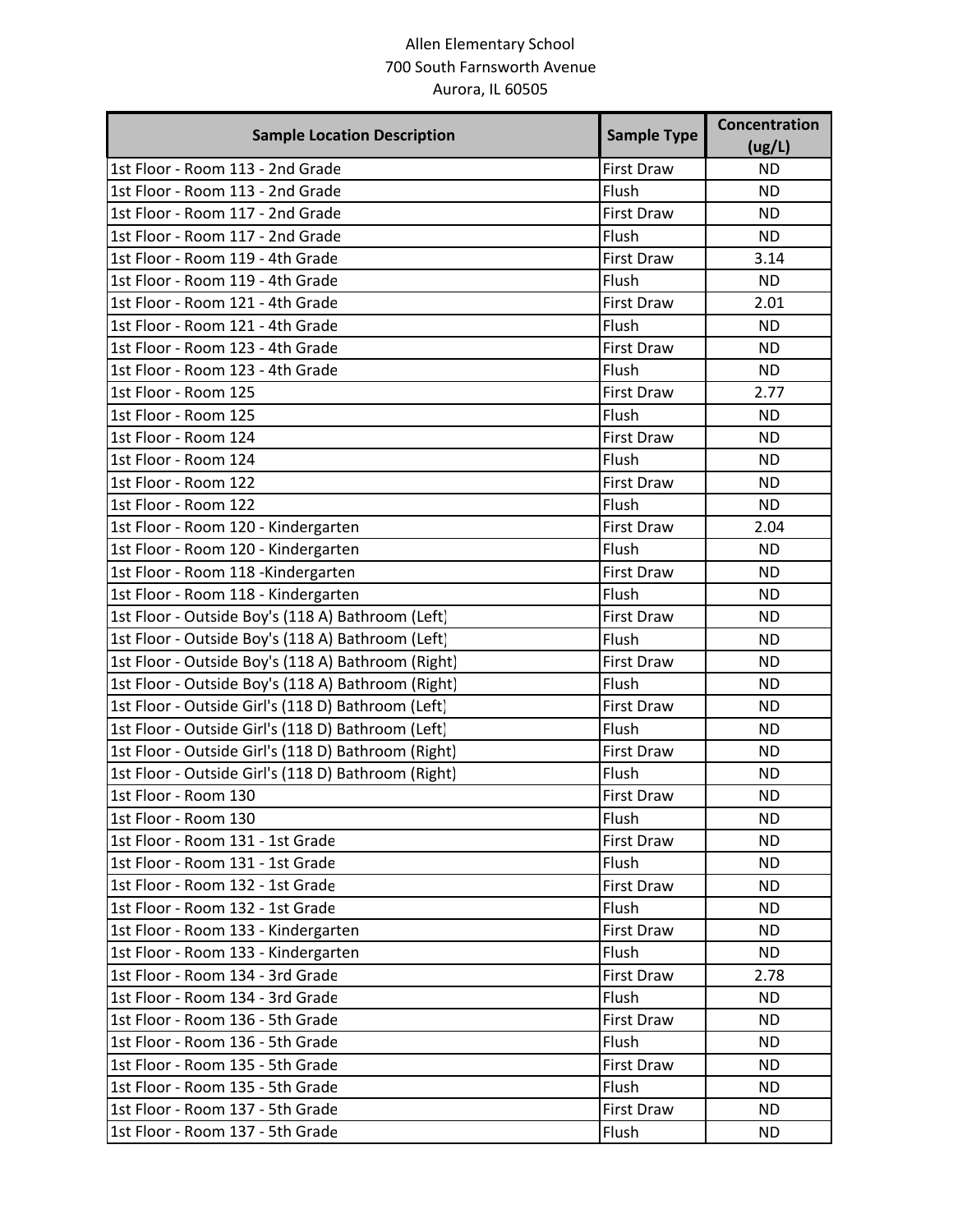## Allen Elementary School 700 South Farnsworth Avenue Aurora, IL 60505

| <b>Sample Location Description</b>                  | <b>Sample Type</b> | <b>Concentration</b><br>(ug/L) |
|-----------------------------------------------------|--------------------|--------------------------------|
| 1st Floor - Room 113 - 2nd Grade                    | <b>First Draw</b>  | <b>ND</b>                      |
| 1st Floor - Room 113 - 2nd Grade                    | Flush              | <b>ND</b>                      |
| 1st Floor - Room 117 - 2nd Grade                    | <b>First Draw</b>  | <b>ND</b>                      |
| 1st Floor - Room 117 - 2nd Grade                    | Flush              | <b>ND</b>                      |
| 1st Floor - Room 119 - 4th Grade                    | <b>First Draw</b>  | 3.14                           |
| 1st Floor - Room 119 - 4th Grade                    | Flush              | <b>ND</b>                      |
| 1st Floor - Room 121 - 4th Grade                    | <b>First Draw</b>  | 2.01                           |
| 1st Floor - Room 121 - 4th Grade                    | Flush              | <b>ND</b>                      |
| 1st Floor - Room 123 - 4th Grade                    | <b>First Draw</b>  | <b>ND</b>                      |
| 1st Floor - Room 123 - 4th Grade                    | Flush              | <b>ND</b>                      |
| 1st Floor - Room 125                                | <b>First Draw</b>  | 2.77                           |
| 1st Floor - Room 125                                | Flush              | <b>ND</b>                      |
| 1st Floor - Room 124                                | <b>First Draw</b>  | <b>ND</b>                      |
| 1st Floor - Room 124                                | Flush              | <b>ND</b>                      |
| 1st Floor - Room 122                                | <b>First Draw</b>  | <b>ND</b>                      |
| 1st Floor - Room 122                                | Flush              | <b>ND</b>                      |
| 1st Floor - Room 120 - Kindergarten                 | <b>First Draw</b>  | 2.04                           |
| 1st Floor - Room 120 - Kindergarten                 | Flush              | <b>ND</b>                      |
| 1st Floor - Room 118 - Kindergarten                 | <b>First Draw</b>  | <b>ND</b>                      |
| 1st Floor - Room 118 - Kindergarten                 | Flush              | <b>ND</b>                      |
| 1st Floor - Outside Boy's (118 A) Bathroom (Left)   | <b>First Draw</b>  | <b>ND</b>                      |
| 1st Floor - Outside Boy's (118 A) Bathroom (Left)   | Flush              | <b>ND</b>                      |
| 1st Floor - Outside Boy's (118 A) Bathroom (Right)  | <b>First Draw</b>  | <b>ND</b>                      |
| 1st Floor - Outside Boy's (118 A) Bathroom (Right)  | Flush              | <b>ND</b>                      |
| 1st Floor - Outside Girl's (118 D) Bathroom (Left)  | <b>First Draw</b>  | <b>ND</b>                      |
| 1st Floor - Outside Girl's (118 D) Bathroom (Left)  | Flush              | <b>ND</b>                      |
| 1st Floor - Outside Girl's (118 D) Bathroom (Right) | <b>First Draw</b>  | <b>ND</b>                      |
| 1st Floor - Outside Girl's (118 D) Bathroom (Right) | Flush              | <b>ND</b>                      |
| 1st Floor - Room 130                                | <b>First Draw</b>  | <b>ND</b>                      |
| 1st Floor - Room 130                                | Flush              | <b>ND</b>                      |
| 1st Floor - Room 131 - 1st Grade                    | <b>First Draw</b>  | ND.                            |
| 1st Floor - Room 131 - 1st Grade                    | Flush              | <b>ND</b>                      |
| 1st Floor - Room 132 - 1st Grade                    | First Draw         | <b>ND</b>                      |
| 1st Floor - Room 132 - 1st Grade                    | Flush              | <b>ND</b>                      |
| 1st Floor - Room 133 - Kindergarten                 | First Draw         | <b>ND</b>                      |
| 1st Floor - Room 133 - Kindergarten                 | Flush              | ND.                            |
| 1st Floor - Room 134 - 3rd Grade                    | First Draw         | 2.78                           |
| 1st Floor - Room 134 - 3rd Grade                    | Flush              | <b>ND</b>                      |
| 1st Floor - Room 136 - 5th Grade                    | First Draw         | <b>ND</b>                      |
| 1st Floor - Room 136 - 5th Grade                    | Flush              | ND.                            |
| 1st Floor - Room 135 - 5th Grade                    | <b>First Draw</b>  | ND.                            |
| 1st Floor - Room 135 - 5th Grade                    | Flush              | <b>ND</b>                      |
| 1st Floor - Room 137 - 5th Grade                    | First Draw         | ND.                            |
| 1st Floor - Room 137 - 5th Grade                    | Flush              | <b>ND</b>                      |